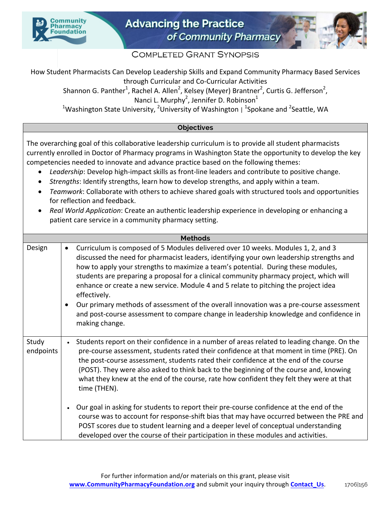



## **COMPLETED GRANT SYNOPSIS**

How Student Pharmacists Can Develop Leadership Skills and Expand Community Pharmacy Based Services through Curricular and Co-Curricular Activities

Shannon G. Panther<sup>1</sup>, Rachel A. Allen<sup>2</sup>, Kelsey (Meyer) Brantner<sup>2</sup>, Curtis G. Jefferson<sup>2</sup>, Nanci L. Murphy<sup>2</sup>, Jennifer D. Robinson<sup>1</sup>

<sup>1</sup>Washington State University, <sup>2</sup>University of Washington | <sup>1</sup>Spokane and <sup>2</sup>Seattle, WA

## **Objectives**

The overarching goal of this collaborative leadership curriculum is to provide all student pharmacists currently enrolled in Doctor of Pharmacy programs in Washington State the opportunity to develop the key competencies needed to innovate and advance practice based on the following themes:

- Leadership: Develop high-impact skills as front-line leaders and contribute to positive change.
- *Strengths*: Identify strengths, learn how to develop strengths, and apply within a team.
- *Teamwork*: Collaborate with others to achieve shared goals with structured tools and opportunities for reflection and feedback.
- Real World Application: Create an authentic leadership experience in developing or enhancing a patient care service in a community pharmacy setting.

| <b>Methods</b>     |                                                                                                                                                                                                                                                                                                                                                                                                                                                                                                                                                                                                                                                                                                      |  |  |  |  |  |
|--------------------|------------------------------------------------------------------------------------------------------------------------------------------------------------------------------------------------------------------------------------------------------------------------------------------------------------------------------------------------------------------------------------------------------------------------------------------------------------------------------------------------------------------------------------------------------------------------------------------------------------------------------------------------------------------------------------------------------|--|--|--|--|--|
| Design             | Curriculum is composed of 5 Modules delivered over 10 weeks. Modules 1, 2, and 3<br>$\bullet$<br>discussed the need for pharmacist leaders, identifying your own leadership strengths and<br>how to apply your strengths to maximize a team's potential. During these modules,<br>students are preparing a proposal for a clinical community pharmacy project, which will<br>enhance or create a new service. Module 4 and 5 relate to pitching the project idea<br>effectively.<br>Our primary methods of assessment of the overall innovation was a pre-course assessment<br>$\bullet$<br>and post-course assessment to compare change in leadership knowledge and confidence in<br>making change. |  |  |  |  |  |
| Study<br>endpoints | Students report on their confidence in a number of areas related to leading change. On the<br>pre-course assessment, students rated their confidence at that moment in time (PRE). On<br>the post-course assessment, students rated their confidence at the end of the course<br>(POST). They were also asked to think back to the beginning of the course and, knowing<br>what they knew at the end of the course, rate how confident they felt they were at that<br>time (THEN).                                                                                                                                                                                                                   |  |  |  |  |  |
|                    | Our goal in asking for students to report their pre-course confidence at the end of the<br>course was to account for response-shift bias that may have occurred between the PRE and<br>POST scores due to student learning and a deeper level of conceptual understanding<br>developed over the course of their participation in these modules and activities.                                                                                                                                                                                                                                                                                                                                       |  |  |  |  |  |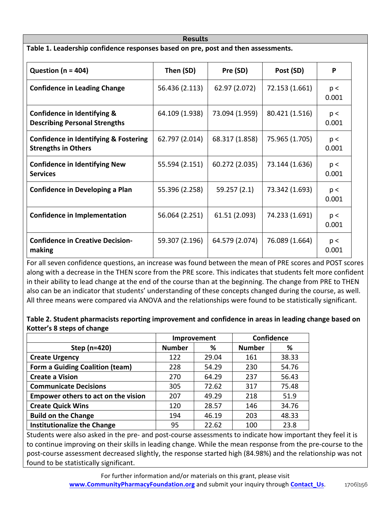| <b>Results</b>                                                                    |                |                |              |  |  |  |  |  |  |
|-----------------------------------------------------------------------------------|----------------|----------------|--------------|--|--|--|--|--|--|
| Table 1. Leadership confidence responses based on pre, post and then assessments. |                |                |              |  |  |  |  |  |  |
| Then (SD)                                                                         | Pre (SD)       | Post (SD)      | P            |  |  |  |  |  |  |
| 56.436 (2.113)                                                                    | 62.97 (2.072)  | 72.153 (1.661) | p <<br>0.001 |  |  |  |  |  |  |
| 64.109 (1.938)                                                                    | 73.094 (1.959) | 80.421 (1.516) | p <<br>0.001 |  |  |  |  |  |  |
| 62.797 (2.014)                                                                    | 68.317 (1.858) | 75.965 (1.705) | p <<br>0.001 |  |  |  |  |  |  |
| 55.594 (2.151)                                                                    | 60.272 (2.035) | 73.144 (1.636) | p <<br>0.001 |  |  |  |  |  |  |
| 55.396 (2.258)                                                                    | 59.257(2.1)    | 73.342 (1.693) | p <<br>0.001 |  |  |  |  |  |  |
| 56.064 (2.251)                                                                    | 61.51 (2.093)  | 74.233 (1.691) | p <<br>0.001 |  |  |  |  |  |  |
| 59.307 (2.196)                                                                    | 64.579 (2.074) | 76.089 (1.664) | p <<br>0.001 |  |  |  |  |  |  |
|                                                                                   |                |                |              |  |  |  |  |  |  |

For all seven confidence questions, an increase was found between the mean of PRE scores and POST scores along with a decrease in the THEN score from the PRE score. This indicates that students felt more confident in their ability to lead change at the end of the course than at the beginning. The change from PRE to THEN also can be an indicator that students' understanding of these concepts changed during the course, as well. All three means were compared via ANOVA and the relationships were found to be statistically significant.

| $\mathcal{L}$ and $\mathcal{L}$ and $\mathcal{L}$<br>المنافذ والمحاوية والمحاوية والمحافظة            |  |
|-------------------------------------------------------------------------------------------------------|--|
| Kotter's 8 steps of change                                                                            |  |
| Table 2. Student pharmacists reporting improvement and confidence in areas in leading change based on |  |

|                                        | Improvement   |       | <b>Confidence</b> |       |
|----------------------------------------|---------------|-------|-------------------|-------|
| Step (n=420)                           | <b>Number</b> | %     | <b>Number</b>     | %     |
| <b>Create Urgency</b>                  | 122           | 29.04 | 161               | 38.33 |
| <b>Form a Guiding Coalition (team)</b> | 228           | 54.29 | 230               | 54.76 |
| <b>Create a Vision</b>                 | 270           | 64.29 | 237               | 56.43 |
| <b>Communicate Decisions</b>           | 305           | 72.62 | 317               | 75.48 |
| Empower others to act on the vision    | 207           | 49.29 | 218               | 51.9  |
| <b>Create Quick Wins</b>               | 120           | 28.57 | 146               | 34.76 |
| <b>Build on the Change</b>             | 194           | 46.19 | 203               | 48.33 |
| <b>Institutionalize the Change</b>     | 95            | 22.62 | 100               | 23.8  |

Students were also asked in the pre- and post-course assessments to indicate how important they feel it is to continue improving on their skills in leading change. While the mean response from the pre-course to the post-course assessment decreased slightly, the response started high (84.98%) and the relationship was not found to be statistically significant.